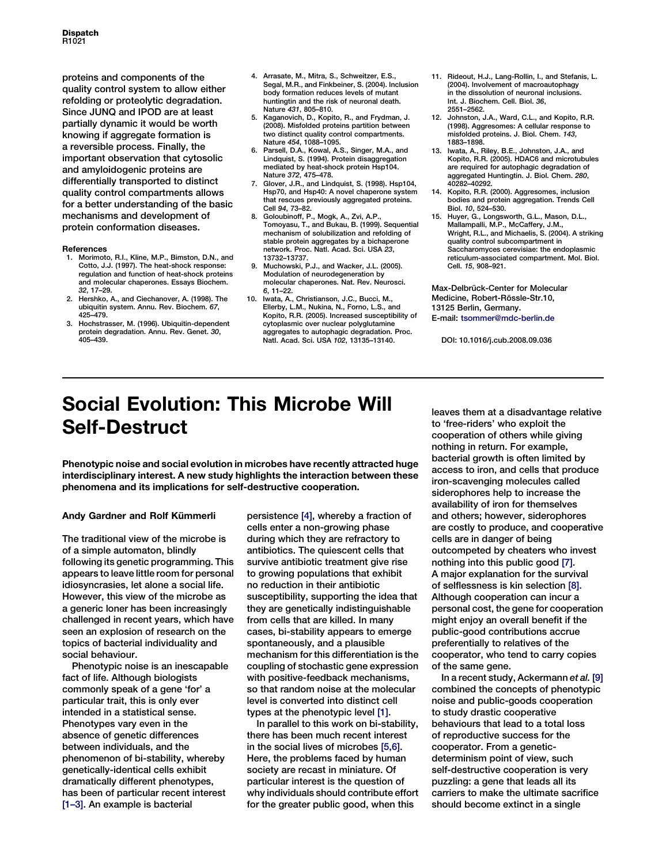proteins and components of the quality control system to allow either refolding or proteolytic degradation. Since JUNQ and IPOD are at least partially dynamic it would be worth knowing if aggregate formation is a reversible process. Finally, the important observation that cytosolic and amyloidogenic proteins are differentially transported to distinct quality control compartments allows for a better understanding of the basic mechanisms and development of protein conformation diseases.

## References

- 1. Morimoto, R.I., Kline, M.P., Bimston, D.N., and Cotto, J.J. (1997). The heat-shock response: regulation and function of heat-shock proteins and molecular chaperones. Essays Biochem. 32, 17–29.
- 2. Hershko, A., and Ciechanover, A. (1998). The ubiquitin system. Annu. Rev. Biochem. 67, 425–479.
- 3. Hochstrasser, M. (1996). Ubiquitin-dependent protein degradation. Annu. Rev. Genet. 30, 405–439.
- 4. Arrasate, M., Mitra, S., Schweitzer, E.S., Segal, M.R., and Finkbeiner, S. (2004). Inclusion body formation reduces levels of mutant huntingtin and the risk of neuronal death. Nature 431, 805–810.
- 5. Kaganovich, D., Kopito, R., and Frydman, J. (2008). Misfolded proteins partition between two distinct quality control compartments. Nature 454, 1088–1095.
- 6. Parsell, D.A., Kowal, A.S., Singer, M.A., and Lindquist, S. (1994). Protein disaggregation mediated by heat-shock protein Hsp104. Nature 372, 475–478.
- 7. Glover, J.R., and Lindquist, S. (1998). Hsp104, Hsp70, and Hsp40: A novel chaperone system that rescues previously aggregated proteins. Cell 94, 73–82.
- 8. Goloubinoff, P., Mogk, A., Zvi, A.P. Tomoyasu, T., and Bukau, B. (1999). Sequential mechanism of solubilization and refolding of stable protein aggregates by a bichaperone network. Proc. Natl. Acad. Sci. USA 23, 13732–13737.
- 9. Muchowski, P.J., and Wacker, J.L. (2005). Modulation of neurodegeneration by molecular chaperones. Nat. Rev. Neurosci. 6, 11–22.
- 10. Iwata, A., Christianson, J.C., Bucci, M., Ellerby, L.M., Nukina, N., Forno, L.S., and Kopito, R.R. (2005). Increased susceptibility of cytoplasmic over nuclear polyglutamine aggregates to autophagic degradation. Proc. Natl. Acad. Sci. USA 102, 13135-13140.
- 11. Rideout, H.J., Lang-Rollin, I., and Stefanis, L. (2004). Involvement of macroautophagy in the dissolution of neuronal inclusions. Int. J. Biochem. Cell. Biol. 36, 2551–2562.
- 12. Johnston, J.A., Ward, C.L., and Kopito, R.R. (1998). Aggresomes: A cellular response to misfolded proteins. J. Biol. Chem. 143, 1883–1898.
- 13. Iwata, A., Riley, B.E., Johnston, J.A., and Kopito, R.R. (2005). HDAC6 and microtubules are required for autophagic degradation of aggregated Huntingtin. J. Biol. Chem. 280, 40282–40292.
- 14. Kopito, R.R. (2000). Aggresomes, inclusion bodies and protein aggregation. Trends Cell Biol. 10, 524–530.
- 15. Huyer, G., Longsworth, G.L., Mason, D.L., Mallampalli, M.P., McCaffery, J.M., Wright, R.L., and Michaelis, S. (2004). A striking quality control subcompartment in Saccharomyces cerevisiae: the endoplasmic reticulum-associated compartment. Mol. Biol. Cell. 15, 908–921.

Max-Delbrück-Center for Molecular Medicine, Robert-Rössle-Str.10, 13125 Berlin, Germany. E-mail: tsommer@mdc-berlin.de

DOI: 10.1016/j.cub.2008.09.036

## Social Evolution: This Microbe Will Self-Destruct

Phenotypic noise and social evolution in microbes have recently attracted huge interdisciplinary interest. A new study highlights the interaction between these phenomena and its implications for self-destructive cooperation.

## Andy Gardner and Rolf Kümmerli

The traditional view of the microbe is of a simple automaton, blindly following its genetic programming. This appears to leave little room for personal idiosyncrasies, let alone a social life. However, this view of the microbe as a generic loner has been increasingly challenged in recent years, which have seen an explosion of research on the topics of bacterial individuality and social behaviour.

Phenotypic noise is an inescapable fact of life. Although biologists commonly speak of a gene 'for' a particular trait, this is only ever intended in a statistical sense. Phenotypes vary even in the absence of genetic differences between individuals, and the phenomenon of bi-stability, whereby genetically-identical cells exhibit dramatically different phenotypes, has been of particular recent interest [\[1–3\].](#page-2-0) An example is bacterial

persistence [\[4\],](#page-2-0) whereby a fraction of cells enter a non-growing phase during which they are refractory to antibiotics. The quiescent cells that survive antibiotic treatment give rise to growing populations that exhibit no reduction in their antibiotic susceptibility, supporting the idea that they are genetically indistinguishable from cells that are killed. In many cases, bi-stability appears to emerge spontaneously, and a plausible mechanism for this differentiation is the coupling of stochastic gene expression with positive-feedback mechanisms, so that random noise at the molecular level is converted into distinct cell types at the phenotypic level [\[1\].](#page-2-0)

In parallel to this work on bi-stability, there has been much recent interest in the social lives of microbes [\[5,6\]](#page-2-0). Here, the problems faced by human society are recast in miniature. Of particular interest is the question of why individuals should contribute effort for the greater public good, when this

leaves them at a disadvantage relative to 'free-riders' who exploit the cooperation of others while giving nothing in return. For example, bacterial growth is often limited by access to iron, and cells that produce iron-scavenging molecules called siderophores help to increase the availability of iron for themselves and others; however, siderophores are costly to produce, and cooperative cells are in danger of being outcompeted by cheaters who invest nothing into this public good [\[7\].](#page-2-0) A major explanation for the survival of selflessness is kin selection [\[8\].](#page-2-0) Although cooperation can incur a personal cost, the gene for cooperation might enjoy an overall benefit if the public-good contributions accrue preferentially to relatives of the cooperator, who tend to carry copies of the same gene.

In a recent study, Ackermann et al. [\[9\]](#page-2-0) combined the concepts of phenotypic noise and public-goods cooperation to study drastic cooperative behaviours that lead to a total loss of reproductive success for the cooperator. From a geneticdeterminism point of view, such self-destructive cooperation is very puzzling: a gene that leads all its carriers to make the ultimate sacrifice should become extinct in a single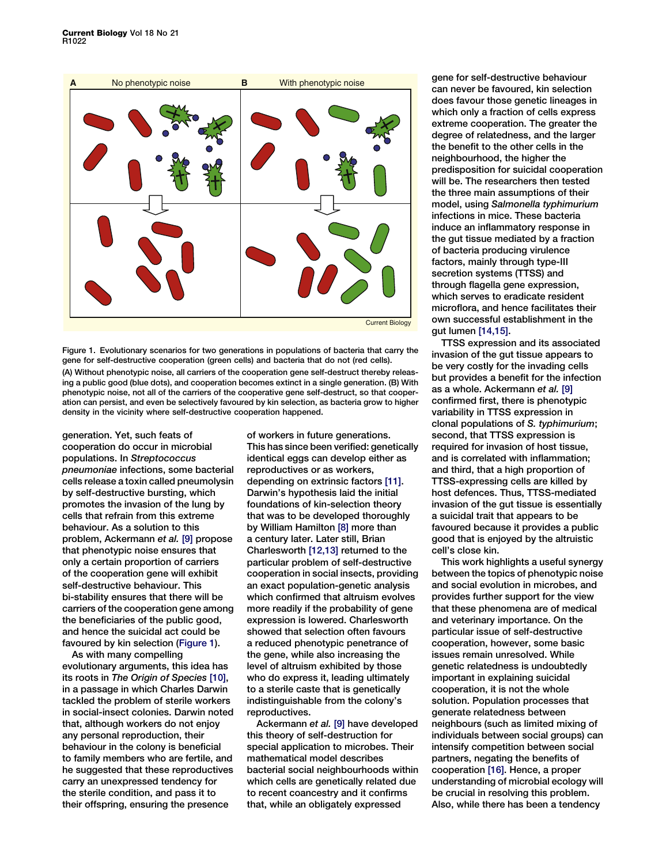

Figure 1. Evolutionary scenarios for two generations in populations of bacteria that carry the gene for self-destructive cooperation (green cells) and bacteria that do not (red cells). (A) Without phenotypic noise, all carriers of the cooperation gene self-destruct thereby releasing a public good (blue dots), and cooperation becomes extinct in a single generation. (B) With phenotypic noise, not all of the carriers of the cooperative gene self-destruct, so that cooperation can persist, and even be selectively favoured by kin selection, as bacteria grow to higher density in the vicinity where self-destructive cooperation happened.

generation. Yet, such feats of cooperation do occur in microbial populations. In Streptococcus pneumoniae infections, some bacterial cells release a toxin called pneumolysin by self-destructive bursting, which promotes the invasion of the lung by cells that refrain from this extreme behaviour. As a solution to this problem, Ackermann et al. [\[9\]](#page-2-0) propose that phenotypic noise ensures that only a certain proportion of carriers of the cooperation gene will exhibit self-destructive behaviour. This bi-stability ensures that there will be carriers of the cooperation gene among the beneficiaries of the public good, and hence the suicidal act could be favoured by kin selection (Figure 1).

As with many compelling evolutionary arguments, this idea has its roots in The Origin of Species [\[10\],](#page-2-0) in a passage in which Charles Darwin tackled the problem of sterile workers in social-insect colonies. Darwin noted that, although workers do not enjoy any personal reproduction, their behaviour in the colony is beneficial to family members who are fertile, and he suggested that these reproductives carry an unexpressed tendency for the sterile condition, and pass it to their offspring, ensuring the presence

of workers in future generations. This has since been verified: genetically identical eggs can develop either as reproductives or as workers, depending on extrinsic factors [\[11\].](#page-2-0) Darwin's hypothesis laid the initial foundations of kin-selection theory that was to be developed thoroughly by William Hamilton [\[8\]](#page-2-0) more than a century later. Later still, Brian Charlesworth [\[12,13\]](#page-2-0) returned to the particular problem of self-destructive cooperation in social insects, providing an exact population-genetic analysis which confirmed that altruism evolves more readily if the probability of gene expression is lowered. Charlesworth showed that selection often favours a reduced phenotypic penetrance of the gene, while also increasing the level of altruism exhibited by those who do express it, leading ultimately to a sterile caste that is genetically indistinguishable from the colony's reproductives.

Ackermann et al. [\[9\]](#page-2-0) have developed this theory of self-destruction for special application to microbes. Their mathematical model describes bacterial social neighbourhoods within which cells are genetically related due to recent coancestry and it confirms that, while an obligately expressed

gene for self-destructive behaviour can never be favoured, kin selection does favour those genetic lineages in which only a fraction of cells express extreme cooperation. The greater the degree of relatedness, and the larger the benefit to the other cells in the neighbourhood, the higher the predisposition for suicidal cooperation will be. The researchers then tested the three main assumptions of their model, using Salmonella typhimurium infections in mice. These bacteria induce an inflammatory response in the gut tissue mediated by a fraction of bacteria producing virulence factors, mainly through type-III secretion systems (TTSS) and through flagella gene expression, which serves to eradicate resident microflora, and hence facilitates their own successful establishment in the gut lumen [\[14,15\]](#page-2-0).

TTSS expression and its associated invasion of the gut tissue appears to be very costly for the invading cells but provides a benefit for the infection as a whole. Ackermann et al. [\[9\]](#page-2-0) confirmed first, there is phenotypic variability in TTSS expression in clonal populations of S. typhimurium; second, that TTSS expression is required for invasion of host tissue, and is correlated with inflammation; and third, that a high proportion of TTSS-expressing cells are killed by host defences. Thus, TTSS-mediated invasion of the gut tissue is essentially a suicidal trait that appears to be favoured because it provides a public good that is enjoyed by the altruistic cell's close kin.

This work highlights a useful synergy between the topics of phenotypic noise and social evolution in microbes, and provides further support for the view that these phenomena are of medical and veterinary importance. On the particular issue of self-destructive cooperation, however, some basic issues remain unresolved. While genetic relatedness is undoubtedly important in explaining suicidal cooperation, it is not the whole solution. Population processes that generate relatedness between neighbours (such as limited mixing of individuals between social groups) can intensify competition between social partners, negating the benefits of cooperation [\[16\].](#page-2-0) Hence, a proper understanding of microbial ecology will be crucial in resolving this problem. Also, while there has been a tendency